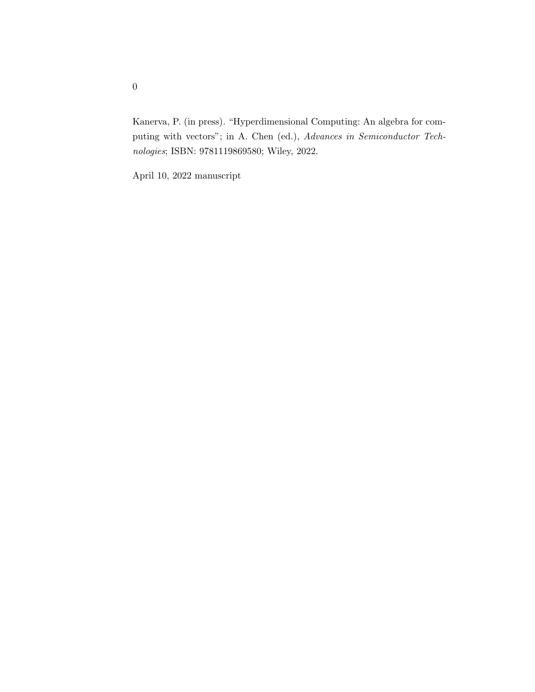Kanerva, P. (in press). "Hyperdimensional Computing: An algebra for computing with vectors"; in A. Chen (ed.), Advances in Semiconductor Technologies; ISBN: 9781119869580; Wiley, 2022.

April 10, 2022 manuscript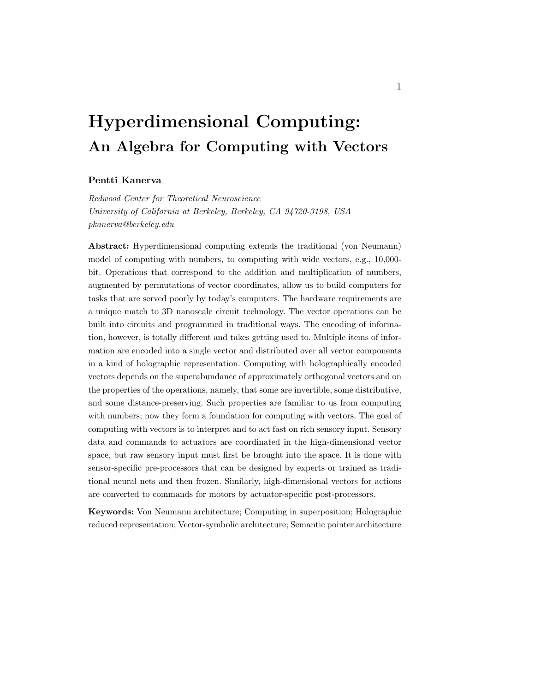# Hyperdimensional Computing: An Algebra for Computing with Vectors

#### Pentti Kanerva

Redwood Center for Theoretical Neuroscience University of California at Berkeley, Berkeley, CA 94720-3198, USA pkanerva@berkeley.edu

Abstract: Hyperdimensional computing extends the traditional (von Neumann) model of computing with numbers, to computing with wide vectors, e.g., 10,000 bit. Operations that correspond to the addition and multiplication of numbers, augmented by permutations of vector coordinates, allow us to build computers for tasks that are served poorly by today's computers. The hardware requirements are a unique match to 3D nanoscale circuit technology. The vector operations can be built into circuits and programmed in traditional ways. The encoding of information, however, is totally different and takes getting used to. Multiple items of information are encoded into a single vector and distributed over all vector components in a kind of holographic representation. Computing with holographically encoded vectors depends on the superabundance of approximately orthogonal vectors and on the properties of the operations, namely, that some are invertible, some distributive, and some distance-preserving. Such properties are familiar to us from computing with numbers; now they form a foundation for computing with vectors. The goal of computing with vectors is to interpret and to act fast on rich sensory input. Sensory data and commands to actuators are coordinated in the high-dimensional vector space, but raw sensory input must first be brought into the space. It is done with sensor-specific pre-processors that can be designed by experts or trained as traditional neural nets and then frozen. Similarly, high-dimensional vectors for actions are converted to commands for motors by actuator-specific post-processors.

Keywords: Von Neumann architecture; Computing in superposition; Holographic reduced representation; Vector-symbolic architecture; Semantic pointer architecture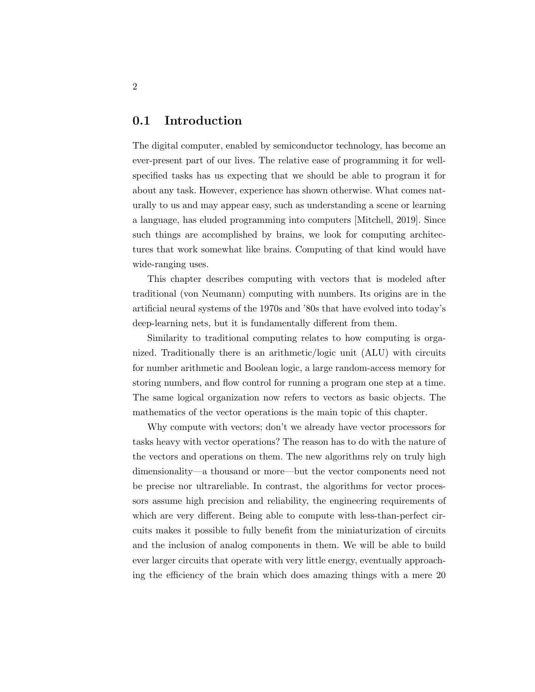#### 0.1 Introduction

The digital computer, enabled by semiconductor technology, has become an ever-present part of our lives. The relative ease of programming it for wellspecified tasks has us expecting that we should be able to program it for about any task. However, experience has shown otherwise. What comes naturally to us and may appear easy, such as understanding a scene or learning a language, has eluded programming into computers [Mitchell, 2019]. Since such things are accomplished by brains, we look for computing architectures that work somewhat like brains. Computing of that kind would have wide-ranging uses.

This chapter describes computing with vectors that is modeled after traditional (von Neumann) computing with numbers. Its origins are in the artificial neural systems of the 1970s and '80s that have evolved into today's deep-learning nets, but it is fundamentally different from them.

Similarity to traditional computing relates to how computing is organized. Traditionally there is an arithmetic/logic unit (ALU) with circuits for number arithmetic and Boolean logic, a large random-access memory for storing numbers, and flow control for running a program one step at a time. The same logical organization now refers to vectors as basic objects. The mathematics of the vector operations is the main topic of this chapter.

Why compute with vectors; don't we already have vector processors for tasks heavy with vector operations? The reason has to do with the nature of the vectors and operations on them. The new algorithms rely on truly high dimensionality—a thousand or more—but the vector components need not be precise nor ultrareliable. In contrast, the algorithms for vector processors assume high precision and reliability, the engineering requirements of which are very different. Being able to compute with less-than-perfect circuits makes it possible to fully benefit from the miniaturization of circuits and the inclusion of analog components in them. We will be able to build ever larger circuits that operate with very little energy, eventually approaching the efficiency of the brain which does amazing things with a mere 20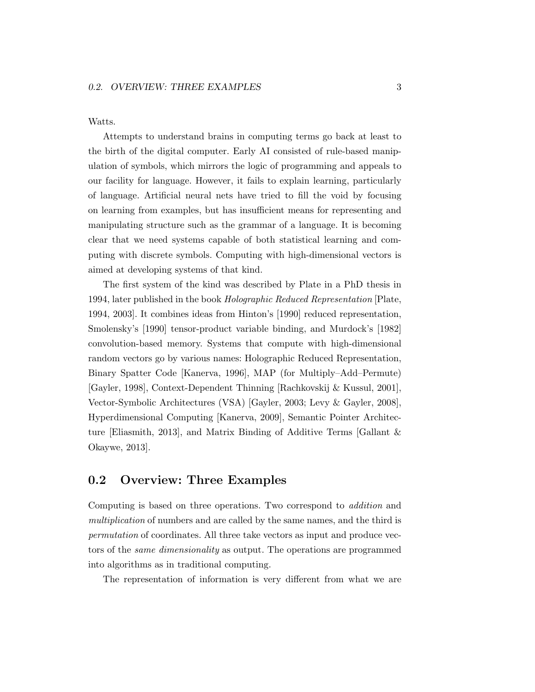Watts.

Attempts to understand brains in computing terms go back at least to the birth of the digital computer. Early AI consisted of rule-based manipulation of symbols, which mirrors the logic of programming and appeals to our facility for language. However, it fails to explain learning, particularly of language. Artificial neural nets have tried to fill the void by focusing on learning from examples, but has insufficient means for representing and manipulating structure such as the grammar of a language. It is becoming clear that we need systems capable of both statistical learning and computing with discrete symbols. Computing with high-dimensional vectors is aimed at developing systems of that kind.

The first system of the kind was described by Plate in a PhD thesis in 1994, later published in the book Holographic Reduced Representation [Plate, 1994, 2003]. It combines ideas from Hinton's [1990] reduced representation, Smolensky's [1990] tensor-product variable binding, and Murdock's [1982] convolution-based memory. Systems that compute with high-dimensional random vectors go by various names: Holographic Reduced Representation, Binary Spatter Code [Kanerva, 1996], MAP (for Multiply–Add–Permute) [Gayler, 1998], Context-Dependent Thinning [Rachkovskij & Kussul, 2001], Vector-Symbolic Architectures (VSA) [Gayler, 2003; Levy & Gayler, 2008], Hyperdimensional Computing [Kanerva, 2009], Semantic Pointer Architecture [Eliasmith, 2013], and Matrix Binding of Additive Terms [Gallant & Okaywe, 2013].

#### 0.2 Overview: Three Examples

Computing is based on three operations. Two correspond to addition and multiplication of numbers and are called by the same names, and the third is permutation of coordinates. All three take vectors as input and produce vectors of the same dimensionality as output. The operations are programmed into algorithms as in traditional computing.

The representation of information is very different from what we are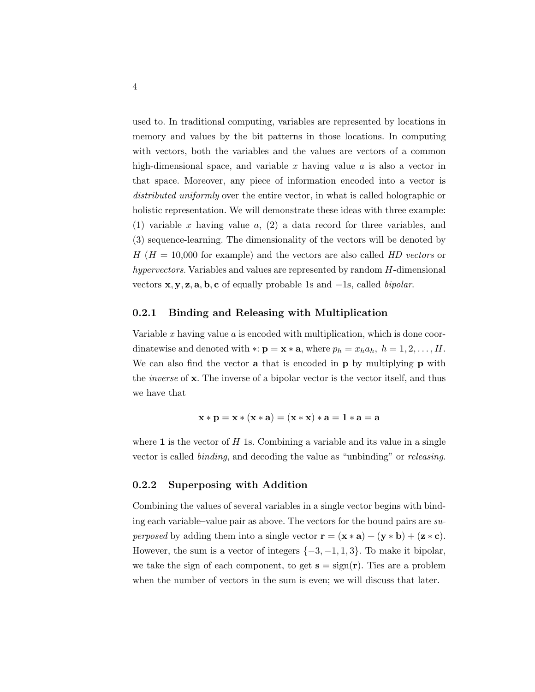used to. In traditional computing, variables are represented by locations in memory and values by the bit patterns in those locations. In computing with vectors, both the variables and the values are vectors of a common high-dimensional space, and variable x having value  $a$  is also a vector in that space. Moreover, any piece of information encoded into a vector is distributed uniformly over the entire vector, in what is called holographic or holistic representation. We will demonstrate these ideas with three example: (1) variable x having value  $a$ , (2) a data record for three variables, and (3) sequence-learning. The dimensionality of the vectors will be denoted by  $H(H = 10,000$  for example) and the vectors are also called HD vectors or hypervectors. Variables and values are represented by random H-dimensional vectors  $x, y, z, a, b, c$  of equally probable 1s and  $-1s$ , called *bipolar*.

#### 0.2.1 Binding and Releasing with Multiplication

Variable x having value a is encoded with multiplication, which is done coordinatewise and denoted with ∗:  $\mathbf{p} = \mathbf{x} * \mathbf{a}$ , where  $p_h = x_h a_h$ ,  $h = 1, 2, \ldots, H$ . We can also find the vector **a** that is encoded in **p** by multiplying **p** with the inverse of x. The inverse of a bipolar vector is the vector itself, and thus we have that

$$
\mathbf{x} * \mathbf{p} = \mathbf{x} * (\mathbf{x} * \mathbf{a}) = (\mathbf{x} * \mathbf{x}) * \mathbf{a} = 1 * \mathbf{a} = \mathbf{a}
$$

where 1 is the vector of  $H$  1s. Combining a variable and its value in a single vector is called binding, and decoding the value as "unbinding" or releasing.

#### 0.2.2 Superposing with Addition

Combining the values of several variables in a single vector begins with binding each variable–value pair as above. The vectors for the bound pairs are su*perposed* by adding them into a single vector  $\mathbf{r} = (\mathbf{x} * \mathbf{a}) + (\mathbf{y} * \mathbf{b}) + (\mathbf{z} * \mathbf{c}).$ However, the sum is a vector of integers  $\{-3, -1, 1, 3\}$ . To make it bipolar, we take the sign of each component, to get  $s = sign(r)$ . Ties are a problem when the number of vectors in the sum is even; we will discuss that later.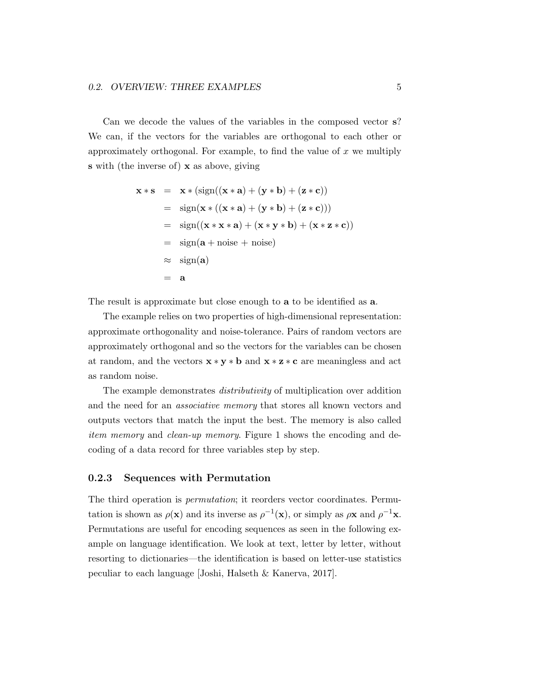Can we decode the values of the variables in the composed vector s? We can, if the vectors for the variables are orthogonal to each other or approximately orthogonal. For example, to find the value of  $x$  we multiply s with (the inverse of) x as above, giving

$$
\mathbf{x} * \mathbf{s} = \mathbf{x} * (\text{sign}((\mathbf{x} * \mathbf{a}) + (\mathbf{y} * \mathbf{b}) + (\mathbf{z} * \mathbf{c}))
$$
  
\n
$$
= \text{sign}(\mathbf{x} * ((\mathbf{x} * \mathbf{a}) + (\mathbf{y} * \mathbf{b}) + (\mathbf{z} * \mathbf{c})))
$$
  
\n
$$
= \text{sign}((\mathbf{x} * \mathbf{x} * \mathbf{a}) + (\mathbf{x} * \mathbf{y} * \mathbf{b}) + (\mathbf{x} * \mathbf{z} * \mathbf{c}))
$$
  
\n
$$
= \text{sign}(\mathbf{a} + \text{noise} + \text{noise})
$$
  
\n
$$
\approx \text{sign}(\mathbf{a})
$$
  
\n
$$
= \mathbf{a}
$$

The result is approximate but close enough to **a** to be identified as **a**.

The example relies on two properties of high-dimensional representation: approximate orthogonality and noise-tolerance. Pairs of random vectors are approximately orthogonal and so the vectors for the variables can be chosen at random, and the vectors  $\mathbf{x} * \mathbf{y} * \mathbf{b}$  and  $\mathbf{x} * \mathbf{z} * \mathbf{c}$  are meaningless and act as random noise.

The example demonstrates distributivity of multiplication over addition and the need for an associative memory that stores all known vectors and outputs vectors that match the input the best. The memory is also called item memory and clean-up memory. Figure 1 shows the encoding and decoding of a data record for three variables step by step.

#### 0.2.3 Sequences with Permutation

The third operation is permutation; it reorders vector coordinates. Permutation is shown as  $\rho(\mathbf{x})$  and its inverse as  $\rho^{-1}(\mathbf{x})$ , or simply as  $\rho \mathbf{x}$  and  $\rho^{-1} \mathbf{x}$ . Permutations are useful for encoding sequences as seen in the following example on language identification. We look at text, letter by letter, without resorting to dictionaries—the identification is based on letter-use statistics peculiar to each language [Joshi, Halseth & Kanerva, 2017].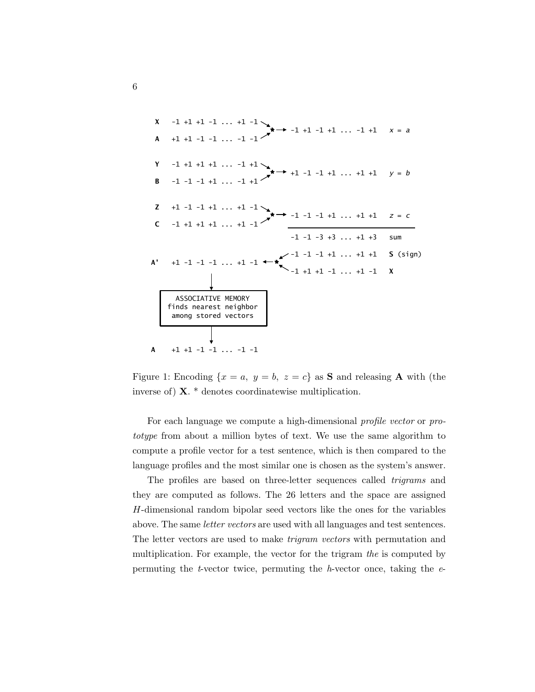**X** -1 +1 +1 -1 ... +1 -1 **\*** -1 +1 -1 +1 ... -1 +1 *x* = *a* **A** +1 +1 -1 -1 ... -1 -1 **Y** -1 +1 +1 +1 ... -1 +1 **\*** +1 -1 -1 +1 ... +1 +1 *y* = *b* **B** -1 -1 -1 +1 ... -1 +1 **Z** +1 -1 -1 +1 ... +1 -1 **\*** -1 -1 -1 +1 ... +1 +1 *z* = *c* **C** -1 +1 +1 +1 ... +1 -1 -1 -1 -3 +3 ... +1 +3 sum -1 -1 -1 +1 ... +1 +1 **S** (sign) **A'** +1 -1 -1 -1 ... +1 -1 **\*** -1 +1 +1 -1 ... +1 -1 **X**  ASSOCIATIVE MEMORY finds nearest neighbor among stored vectors **A** +1 +1 -1 -1 ... -1 -1

Figure 1: Encoding  $\{x = a, y = b, z = c\}$  as **S** and releasing **A** with (the inverse of) X. \* denotes coordinatewise multiplication.

For each language we compute a high-dimensional profile vector or prototype from about a million bytes of text. We use the same algorithm to compute a profile vector for a test sentence, which is then compared to the language profiles and the most similar one is chosen as the system's answer.

The profiles are based on three-letter sequences called trigrams and they are computed as follows. The 26 letters and the space are assigned H-dimensional random bipolar seed vectors like the ones for the variables above. The same letter vectors are used with all languages and test sentences. The letter vectors are used to make trigram vectors with permutation and multiplication. For example, the vector for the trigram the is computed by permuting the *t*-vector twice, permuting the *h*-vector once, taking the  $e$ -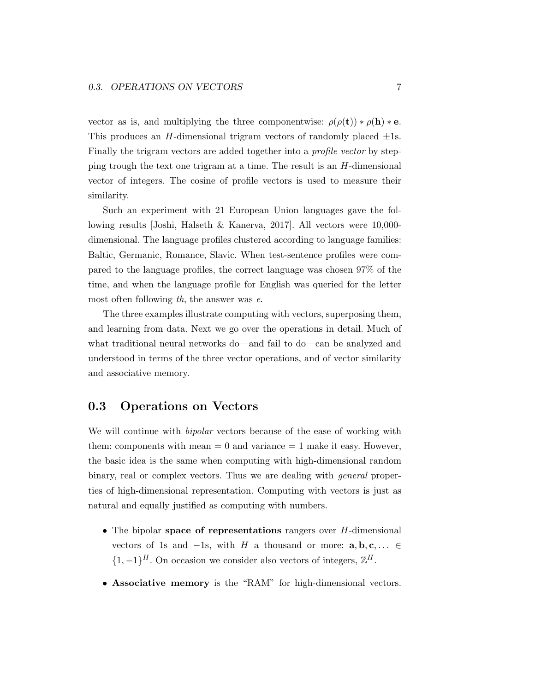vector as is, and multiplying the three componentwise:  $\rho(\rho(\mathbf{t})) * \rho(\mathbf{h}) * \mathbf{e}$ . This produces an H-dimensional trigram vectors of randomly placed  $\pm 1$ s. Finally the trigram vectors are added together into a *profile vector* by stepping trough the text one trigram at a time. The result is an H-dimensional vector of integers. The cosine of profile vectors is used to measure their similarity.

Such an experiment with 21 European Union languages gave the following results [Joshi, Halseth & Kanerva, 2017]. All vectors were 10,000 dimensional. The language profiles clustered according to language families: Baltic, Germanic, Romance, Slavic. When test-sentence profiles were compared to the language profiles, the correct language was chosen 97% of the time, and when the language profile for English was queried for the letter most often following th, the answer was e.

The three examples illustrate computing with vectors, superposing them, and learning from data. Next we go over the operations in detail. Much of what traditional neural networks do—and fail to do—can be analyzed and understood in terms of the three vector operations, and of vector similarity and associative memory.

#### 0.3 Operations on Vectors

We will continue with *bipolar* vectors because of the ease of working with them: components with mean  $= 0$  and variance  $= 1$  make it easy. However, the basic idea is the same when computing with high-dimensional random binary, real or complex vectors. Thus we are dealing with general properties of high-dimensional representation. Computing with vectors is just as natural and equally justified as computing with numbers.

- The bipolar space of representations rangers over H-dimensional vectors of 1s and  $-1$ s, with H a thousand or more:  $a, b, c, \ldots \in$  $\{1, -1\}^H$ . On occasion we consider also vectors of integers,  $\mathbb{Z}^H$ .
- Associative memory is the "RAM" for high-dimensional vectors.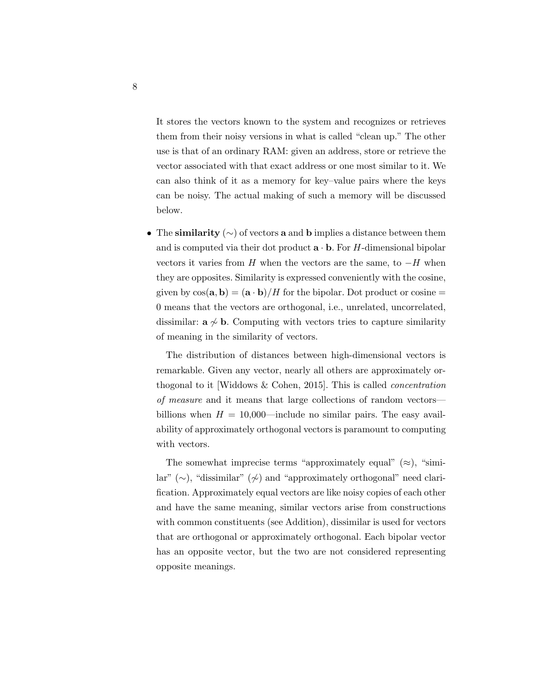It stores the vectors known to the system and recognizes or retrieves them from their noisy versions in what is called "clean up." The other use is that of an ordinary RAM: given an address, store or retrieve the vector associated with that exact address or one most similar to it. We can also think of it as a memory for key–value pairs where the keys can be noisy. The actual making of such a memory will be discussed below.

• The similarity  $(\sim)$  of vectors a and b implies a distance between them and is computed via their dot product  $\mathbf{a} \cdot \mathbf{b}$ . For H-dimensional bipolar vectors it varies from H when the vectors are the same, to  $-H$  when they are opposites. Similarity is expressed conveniently with the cosine, given by  $\cos(\mathbf{a}, \mathbf{b}) = (\mathbf{a} \cdot \mathbf{b})/H$  for the bipolar. Dot product or cosine = 0 means that the vectors are orthogonal, i.e., unrelated, uncorrelated, dissimilar:  $a \nsim b$ . Computing with vectors tries to capture similarity of meaning in the similarity of vectors.

The distribution of distances between high-dimensional vectors is remarkable. Given any vector, nearly all others are approximately orthogonal to it [Widdows & Cohen, 2015]. This is called concentration of measure and it means that large collections of random vectors billions when  $H = 10,000$ —include no similar pairs. The easy availability of approximately orthogonal vectors is paramount to computing with vectors.

The somewhat imprecise terms "approximately equal"  $(\approx)$ , "similar" (∼), "dissimilar" (≁) and "approximately orthogonal" need clarification. Approximately equal vectors are like noisy copies of each other and have the same meaning, similar vectors arise from constructions with common constituents (see Addition), dissimilar is used for vectors that are orthogonal or approximately orthogonal. Each bipolar vector has an opposite vector, but the two are not considered representing opposite meanings.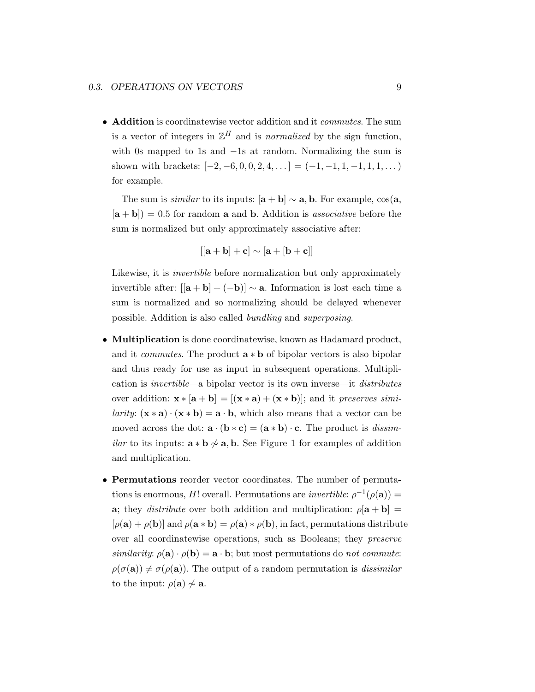• **Addition** is coordinatewise vector addition and it *commutes*. The sum is a vector of integers in  $\mathbb{Z}^H$  and is *normalized* by the sign function, with 0s mapped to 1s and −1s at random. Normalizing the sum is shown with brackets:  $[-2, -6, 0, 0, 2, 4, \ldots] = (-1, -1, 1, -1, 1, 1, \ldots)$ for example.

The sum is *similar* to its inputs:  $[\mathbf{a} + \mathbf{b}] \sim \mathbf{a}, \mathbf{b}$ . For example, cos(**a**,  $[\mathbf{a} + \mathbf{b}]$  = 0.5 for random **a** and **b**. Addition is *associative* before the sum is normalized but only approximately associative after:

$$
[[\mathbf{a}+\mathbf{b}]+\mathbf{c}]\sim[\mathbf{a}+[\mathbf{b}+\mathbf{c}]]
$$

Likewise, it is *invertible* before normalization but only approximately invertible after:  $[|a + b| + (-b)| \sim a$ . Information is lost each time a sum is normalized and so normalizing should be delayed whenever possible. Addition is also called bundling and superposing.

- **Multiplication** is done coordinatewise, known as Hadamard product, and it *commutes*. The product  $\mathbf{a} * \mathbf{b}$  of bipolar vectors is also bipolar and thus ready for use as input in subsequent operations. Multiplication is invertible—a bipolar vector is its own inverse—it distributes over addition:  $\mathbf{x} * [\mathbf{a} + \mathbf{b}] = [(\mathbf{x} * \mathbf{a}) + (\mathbf{x} * \mathbf{b})]$ ; and it preserves simi*larity*:  $(x * a) \cdot (x * b) = a \cdot b$ , which also means that a vector can be moved across the dot:  $\mathbf{a} \cdot (\mathbf{b} * \mathbf{c}) = (\mathbf{a} * \mathbf{b}) \cdot \mathbf{c}$ . The product is *dissimilar* to its inputs:  $\mathbf{a} * \mathbf{b} \not\sim \mathbf{a}$ , **b**. See Figure 1 for examples of addition and multiplication.
- Permutations reorder vector coordinates. The number of permutations is enormous, H! overall. Permutations are *invertible*:  $\rho^{-1}(\rho(\mathbf{a})) =$ a; they *distribute* over both addition and multiplication:  $\rho[\mathbf{a} + \mathbf{b}] =$  $[\rho(\mathbf{a}) + \rho(\mathbf{b})]$  and  $\rho(\mathbf{a} * \mathbf{b}) = \rho(\mathbf{a}) * \rho(\mathbf{b})$ , in fact, permutations distribute over all coordinatewise operations, such as Booleans; they preserve similarity:  $\rho(\mathbf{a}) \cdot \rho(\mathbf{b}) = \mathbf{a} \cdot \mathbf{b}$ ; but most permutations do not commute:  $\rho(\sigma(\mathbf{a})) \neq \sigma(\rho(\mathbf{a}))$ . The output of a random permutation is *dissimilar* to the input:  $\rho(\mathbf{a}) \nsim \mathbf{a}$ .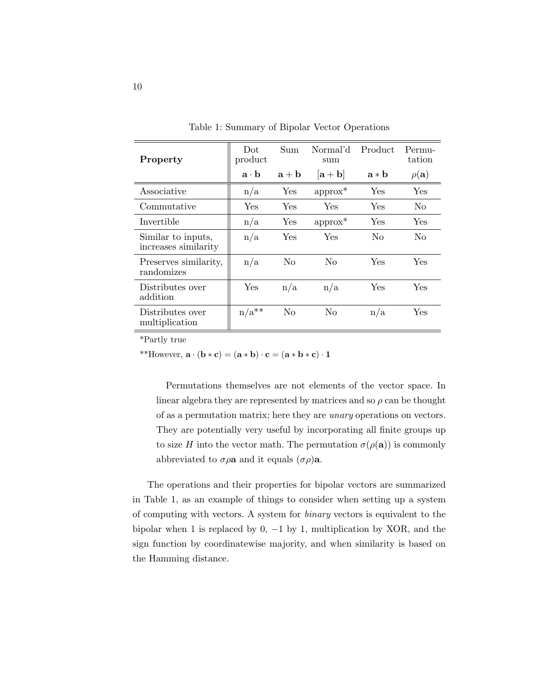| Property                                   | Dot<br>product                | Sum            | Normal'd<br>sum             | Product | Permu-<br>tation |
|--------------------------------------------|-------------------------------|----------------|-----------------------------|---------|------------------|
|                                            | $\mathbf{a} \cdot \mathbf{b}$ | $a + b$        | $ \mathbf{a} + \mathbf{b} $ | $a * b$ | $\rho({\bf a})$  |
| Associative                                | n/a                           | Yes            | $approx*$                   | Yes     | Yes              |
| Commutative                                | Yes                           | Yes            | Yes                         | Yes     | No.              |
| Invertible                                 | n/a                           | Yes            | $approx*$                   | Yes     | <b>Yes</b>       |
| Similar to inputs,<br>increases similarity | n/a                           | Yes            | Yes                         | No      | No               |
| Preserves similarity,<br>randomizes        | n/a                           | N <sub>0</sub> | N <sub>0</sub>              | Yes     | Yes              |
| Distributes over<br>addition               | Yes                           | n/a            | n/a                         | Yes     | Yes              |
| Distributes over<br>multiplication         | $n/a^{**}$                    | No             | N <sub>0</sub>              | n/a     | Yes              |

Table 1: Summary of Bipolar Vector Operations

\*Partly true

\*\*However,  $\mathbf{a} \cdot (\mathbf{b} * \mathbf{c}) = (\mathbf{a} * \mathbf{b}) \cdot \mathbf{c} = (\mathbf{a} * \mathbf{b} * \mathbf{c}) \cdot \mathbf{1}$ 

Permutations themselves are not elements of the vector space. In linear algebra they are represented by matrices and so  $\rho$  can be thought of as a permutation matrix; here they are unary operations on vectors. They are potentially very useful by incorporating all finite groups up to size H into the vector math. The permutation  $\sigma(\rho(\mathbf{a}))$  is commonly abbreviated to  $\sigma \rho \mathbf{a}$  and it equals  $(\sigma \rho) \mathbf{a}$ .

The operations and their properties for bipolar vectors are summarized in Table 1, as an example of things to consider when setting up a system of computing with vectors. A system for binary vectors is equivalent to the bipolar when 1 is replaced by 0,  $-1$  by 1, multiplication by XOR, and the sign function by coordinatewise majority, and when similarity is based on the Hamming distance.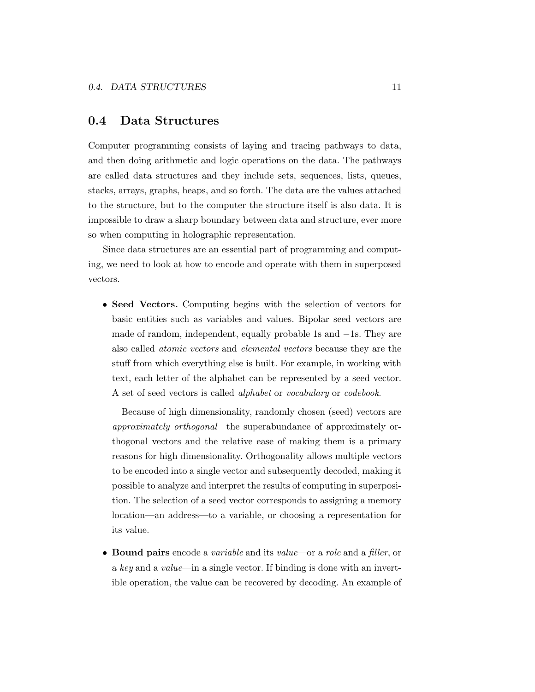#### 0.4 Data Structures

Computer programming consists of laying and tracing pathways to data, and then doing arithmetic and logic operations on the data. The pathways are called data structures and they include sets, sequences, lists, queues, stacks, arrays, graphs, heaps, and so forth. The data are the values attached to the structure, but to the computer the structure itself is also data. It is impossible to draw a sharp boundary between data and structure, ever more so when computing in holographic representation.

Since data structures are an essential part of programming and computing, we need to look at how to encode and operate with them in superposed vectors.

• Seed Vectors. Computing begins with the selection of vectors for basic entities such as variables and values. Bipolar seed vectors are made of random, independent, equally probable 1s and −1s. They are also called atomic vectors and elemental vectors because they are the stuff from which everything else is built. For example, in working with text, each letter of the alphabet can be represented by a seed vector. A set of seed vectors is called alphabet or vocabulary or codebook.

Because of high dimensionality, randomly chosen (seed) vectors are approximately orthogonal—the superabundance of approximately orthogonal vectors and the relative ease of making them is a primary reasons for high dimensionality. Orthogonality allows multiple vectors to be encoded into a single vector and subsequently decoded, making it possible to analyze and interpret the results of computing in superposition. The selection of a seed vector corresponds to assigning a memory location—an address—to a variable, or choosing a representation for its value.

• Bound pairs encode a variable and its value—or a role and a filler, or a key and a value—in a single vector. If binding is done with an invertible operation, the value can be recovered by decoding. An example of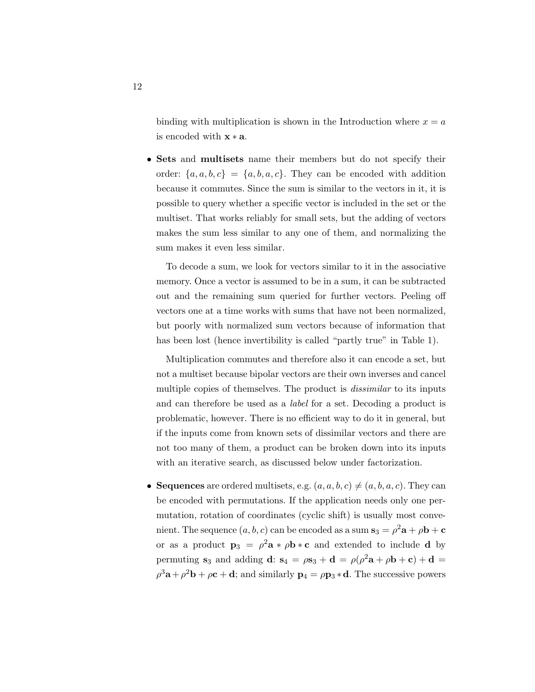binding with multiplication is shown in the Introduction where  $x = a$ is encoded with  $\mathbf{x} * \mathbf{a}$ .

• Sets and multisets name their members but do not specify their order:  $\{a, a, b, c\} = \{a, b, a, c\}$ . They can be encoded with addition because it commutes. Since the sum is similar to the vectors in it, it is possible to query whether a specific vector is included in the set or the multiset. That works reliably for small sets, but the adding of vectors makes the sum less similar to any one of them, and normalizing the sum makes it even less similar.

To decode a sum, we look for vectors similar to it in the associative memory. Once a vector is assumed to be in a sum, it can be subtracted out and the remaining sum queried for further vectors. Peeling off vectors one at a time works with sums that have not been normalized, but poorly with normalized sum vectors because of information that has been lost (hence invertibility is called "partly true" in Table 1).

Multiplication commutes and therefore also it can encode a set, but not a multiset because bipolar vectors are their own inverses and cancel multiple copies of themselves. The product is *dissimilar* to its inputs and can therefore be used as a label for a set. Decoding a product is problematic, however. There is no efficient way to do it in general, but if the inputs come from known sets of dissimilar vectors and there are not too many of them, a product can be broken down into its inputs with an iterative search, as discussed below under factorization.

• Sequences are ordered multisets, e.g.  $(a, a, b, c) \neq (a, b, a, c)$ . They can be encoded with permutations. If the application needs only one permutation, rotation of coordinates (cyclic shift) is usually most convenient. The sequence  $(a,b,c)$  can be encoded as a sum  $\mathbf{s}_3 = \rho^2 \mathbf{a} + \rho \mathbf{b} + \mathbf{c}$ or as a product  $\mathbf{p}_3 = \rho^2 \mathbf{a} * \rho \mathbf{b} * \mathbf{c}$  and extended to include **d** by permuting  $s_3$  and adding  $\mathbf{d}$ :  $s_4 = \rho s_3 + \mathbf{d} = \rho(\rho^2 \mathbf{a} + \rho \mathbf{b} + \mathbf{c}) + \mathbf{d} =$  $\rho^3$ **a** +  $\rho^2$ **b** +  $\rho$ **c** + **d**; and similarly **p**<sub>4</sub> =  $\rho$ **p**<sub>3</sub> \* **d**. The successive powers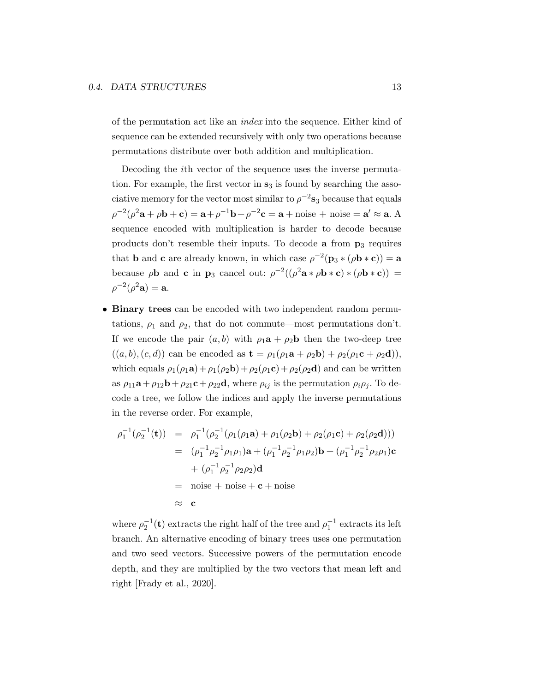of the permutation act like an index into the sequence. Either kind of sequence can be extended recursively with only two operations because permutations distribute over both addition and multiplication.

Decoding the ith vector of the sequence uses the inverse permutation. For example, the first vector in  $s_3$  is found by searching the associative memory for the vector most similar to  $\rho^{-2}$ s<sub>3</sub> because that equals  $\rho^{-2}(\rho^2 \mathbf{a} + \rho \mathbf{b} + \mathbf{c}) = \mathbf{a} + \rho^{-1} \mathbf{b} + \rho^{-2} \mathbf{c} = \mathbf{a} + \text{noise} + \text{noise} = \mathbf{a}' \approx \mathbf{a}.$  A sequence encoded with multiplication is harder to decode because products don't resemble their inputs. To decode  $a$  from  $p_3$  requires that **b** and **c** are already known, in which case  $\rho^{-2}(\mathbf{p}_3 * (\rho \mathbf{b} * \mathbf{c})) = \mathbf{a}$ because  $\rho$ **b** and **c** in **p**<sub>3</sub> cancel out:  $\rho^{-2}((\rho^2 \mathbf{a} * \rho \mathbf{b} * \mathbf{c}) * (\rho \mathbf{b} * \mathbf{c}))$  =  $\rho^{-2}(\rho^2 \mathbf{a}) = \mathbf{a}.$ 

• Binary trees can be encoded with two independent random permutations,  $\rho_1$  and  $\rho_2$ , that do not commute—most permutations don't. If we encode the pair  $(a, b)$  with  $\rho_1 \mathbf{a} + \rho_2 \mathbf{b}$  then the two-deep tree  $((a, b), (c, d))$  can be encoded as  $\mathbf{t} = \rho_1(\rho_1 \mathbf{a} + \rho_2 \mathbf{b}) + \rho_2(\rho_1 \mathbf{c} + \rho_2 \mathbf{d})),$ which equals  $\rho_1(\rho_1 \mathbf{a}) + \rho_1(\rho_2 \mathbf{b}) + \rho_2(\rho_1 \mathbf{c}) + \rho_2(\rho_2 \mathbf{d})$  and can be written as  $\rho_{11}a + \rho_{12}b + \rho_{21}c + \rho_{22}d$ , where  $\rho_{ij}$  is the permutation  $\rho_i \rho_j$ . To decode a tree, we follow the indices and apply the inverse permutations in the reverse order. For example,

$$
\rho_1^{-1}(\rho_2^{-1}(\mathbf{t})) = \rho_1^{-1}(\rho_2^{-1}(\rho_1(\rho_1 \mathbf{a}) + \rho_1(\rho_2 \mathbf{b}) + \rho_2(\rho_1 \mathbf{c}) + \rho_2(\rho_2 \mathbf{d})))
$$
  
\n
$$
= (\rho_1^{-1} \rho_2^{-1} \rho_1 \rho_1) \mathbf{a} + (\rho_1^{-1} \rho_2^{-1} \rho_1 \rho_2) \mathbf{b} + (\rho_1^{-1} \rho_2^{-1} \rho_2 \rho_1) \mathbf{c}
$$
  
\n
$$
+ (\rho_1^{-1} \rho_2^{-1} \rho_2 \rho_2) \mathbf{d}
$$
  
\n
$$
= \text{noise} + \text{noise} + \mathbf{c} + \text{noise}
$$
  
\n
$$
\approx \mathbf{c}
$$

where  $\rho_2^{-1}(\mathbf{t})$  extracts the right half of the tree and  $\rho_1^{-1}$  extracts its left branch. An alternative encoding of binary trees uses one permutation and two seed vectors. Successive powers of the permutation encode depth, and they are multiplied by the two vectors that mean left and right [Frady et al., 2020].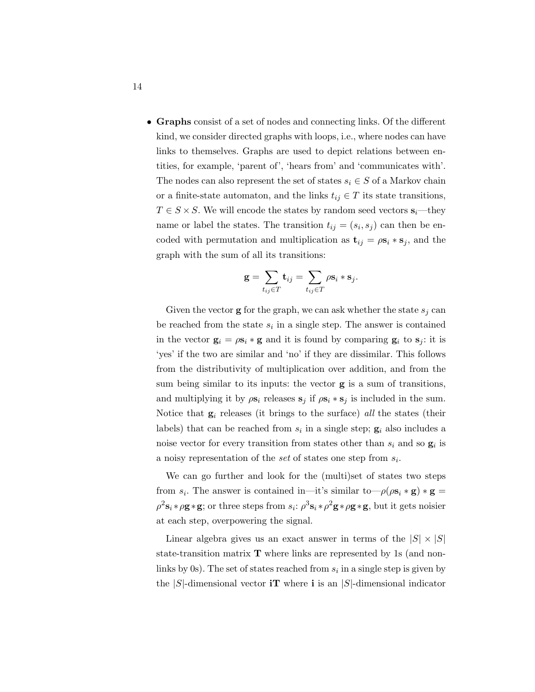• Graphs consist of a set of nodes and connecting links. Of the different kind, we consider directed graphs with loops, i.e., where nodes can have links to themselves. Graphs are used to depict relations between entities, for example, 'parent of', 'hears from' and 'communicates with'. The nodes can also represent the set of states  $s_i \in S$  of a Markov chain or a finite-state automaton, and the links  $t_{ij} \in T$  its state transitions,  $T \in S \times S$ . We will encode the states by random seed vectors  $\mathbf{s}_i$ —they name or label the states. The transition  $t_{ij} = (s_i, s_j)$  can then be encoded with permutation and multiplication as  $\mathbf{t}_{ij} = \rho \mathbf{s}_i * \mathbf{s}_j$ , and the graph with the sum of all its transitions:

$$
\mathbf{g} = \sum_{t_{ij} \in T} \mathbf{t}_{ij} = \sum_{t_{ij} \in T} \rho \mathbf{s}_i * \mathbf{s}_j.
$$

Given the vector **g** for the graph, we can ask whether the state  $s_i$  can be reached from the state  $s_i$  in a single step. The answer is contained in the vector  $\mathbf{g}_i = \rho \mathbf{s}_i * \mathbf{g}$  and it is found by comparing  $\mathbf{g}_i$  to  $\mathbf{s}_j$ : it is 'yes' if the two are similar and 'no' if they are dissimilar. This follows from the distributivity of multiplication over addition, and from the sum being similar to its inputs: the vector g is a sum of transitions, and multiplying it by  $\rho s_i$  releases  $s_j$  if  $\rho s_i * s_j$  is included in the sum. Notice that  $g_i$  releases (it brings to the surface) all the states (their labels) that can be reached from  $s_i$  in a single step;  $\mathbf{g}_i$  also includes a noise vector for every transition from states other than  $s_i$  and so  $\mathbf{g}_i$  is a noisy representation of the set of states one step from  $s_i$ .

We can go further and look for the (multi)set of states two steps from  $s_i$ . The answer is contained in—it's similar to— $\rho(\rho s_i * g) * g =$  $\rho^2$ s<sub>i</sub> \*  $\rho$ **g** \* **g**; or three steps from  $s_i$ :  $\rho^3$ s<sub>i</sub> \*  $\rho^2$ **g** \*  $\rho$ **g** \* **g**, but it gets noisier at each step, overpowering the signal.

Linear algebra gives us an exact answer in terms of the  $|S| \times |S|$ state-transition matrix  $\mathbf T$  where links are represented by 1s (and nonlinks by 0s). The set of states reached from  $s_i$  in a single step is given by the  $|S|$ -dimensional vector **iT** where **i** is an  $|S|$ -dimensional indicator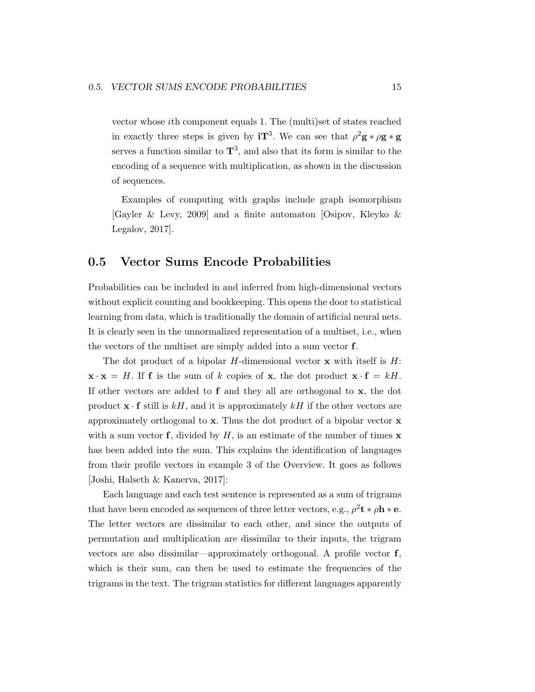vector whose ith component equals 1. The (multi)set of states reached in exactly three steps is given by  $iT^3$ . We can see that  $\rho^2 g * \rho g * g$ serves a function similar to  $\mathbf{T}^3$ , and also that its form is similar to the encoding of a sequence with multiplication, as shown in the discussion of sequences.

Examples of computing with graphs include graph isomorphism [Gayler & Levy, 2009] and a finite automaton [Osipov, Kleyko & Legalov, 2017].

#### 0.5 Vector Sums Encode Probabilities

Probabilities can be included in and inferred from high-dimensional vectors without explicit counting and bookkeeping. This opens the door to statistical learning from data, which is traditionally the domain of artificial neural nets. It is clearly seen in the unnormalized representation of a multiset, i.e., when the vectors of the multiset are simply added into a sum vector f.

The dot product of a bipolar H-dimensional vector  $x$  with itself is  $H$ :  $\mathbf{x} \cdot \mathbf{x} = H$ . If **f** is the sum of k copies of **x**, the dot product  $\mathbf{x} \cdot \mathbf{f} = kH$ . If other vectors are added to  $f$  and they all are orthogonal to  $x$ , the dot product  $\mathbf{x} \cdot \mathbf{f}$  still is kH, and it is approximately kH if the other vectors are approximately orthogonal to x. Thus the dot product of a bipolar vector x with a sum vector **f**, divided by  $H$ , is an estimate of the number of times **x** has been added into the sum. This explains the identification of languages from their profile vectors in example 3 of the Overview. It goes as follows [Joshi, Halseth & Kanerva, 2017]:

Each language and each test sentence is represented as a sum of trigrams that have been encoded as sequences of three letter vectors, e.g.,  $\rho^2 \mathbf{t} * \rho \mathbf{h} * \mathbf{e}$ . The letter vectors are dissimilar to each other, and since the outputs of permutation and multiplication are dissimilar to their inputs, the trigram vectors are also dissimilar—approximately orthogonal. A profile vector f, which is their sum, can then be used to estimate the frequencies of the trigrams in the text. The trigram statistics for different languages apparently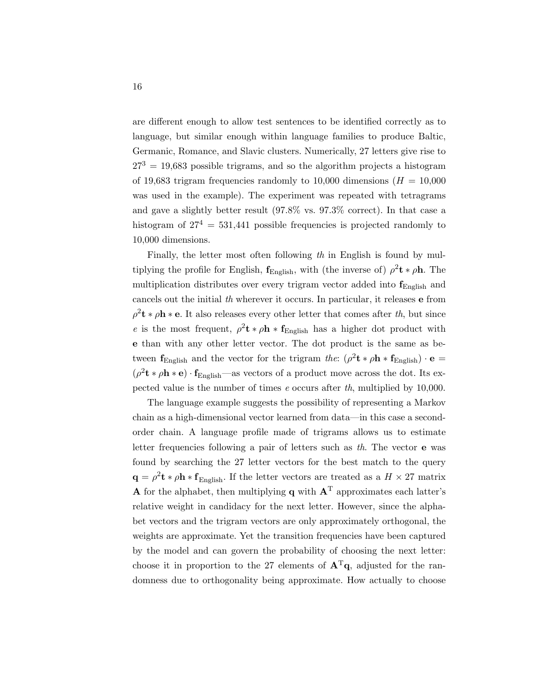are different enough to allow test sentences to be identified correctly as to language, but similar enough within language families to produce Baltic, Germanic, Romance, and Slavic clusters. Numerically, 27 letters give rise to  $27<sup>3</sup> = 19,683$  possible trigrams, and so the algorithm projects a histogram of 19,683 trigram frequencies randomly to 10,000 dimensions ( $H = 10,000$ ) was used in the example). The experiment was repeated with tetragrams and gave a slightly better result (97.8% vs. 97.3% correct). In that case a histogram of  $27^4 = 531,441$  possible frequencies is projected randomly to 10,000 dimensions.

Finally, the letter most often following th in English is found by multiplying the profile for English,  $f_{\text{English}}$ , with (the inverse of)  $\rho^2 \mathbf{t} * \rho \mathbf{h}$ . The multiplication distributes over every trigram vector added into  $f_{Enelish}$  and cancels out the initial th wherever it occurs. In particular, it releases e from  $\rho^2$ **t** \*  $\rho$ **h** \* **e**. It also releases every other letter that comes after th, but since e is the most frequent,  $\rho^2 \mathbf{t} * \rho \mathbf{h} * \mathbf{f}_{\text{English}}$  has a higher dot product with e than with any other letter vector. The dot product is the same as between  $f_{\text{English}}$  and the vector for the trigram the:  $(\rho^2 t * \rho h * f_{\text{English}}) \cdot e$  =  $(\rho^2 \mathbf{t} * \rho \mathbf{h} * \mathbf{e}) \cdot \mathbf{f}_{English}$ —as vectors of a product move across the dot. Its expected value is the number of times e occurs after th, multiplied by 10,000.

The language example suggests the possibility of representing a Markov chain as a high-dimensional vector learned from data—in this case a secondorder chain. A language profile made of trigrams allows us to estimate letter frequencies following a pair of letters such as th. The vector e was found by searching the 27 letter vectors for the best match to the query  $\mathbf{q} = \rho^2 \mathbf{t} * \rho \mathbf{h} * \mathbf{f}_{\text{English}}$ . If the letter vectors are treated as a  $H \times 27$  matrix A for the alphabet, then multiplying q with  $A<sup>T</sup>$  approximates each latter's relative weight in candidacy for the next letter. However, since the alphabet vectors and the trigram vectors are only approximately orthogonal, the weights are approximate. Yet the transition frequencies have been captured by the model and can govern the probability of choosing the next letter: choose it in proportion to the 27 elements of  $A<sup>T</sup>q$ , adjusted for the randomness due to orthogonality being approximate. How actually to choose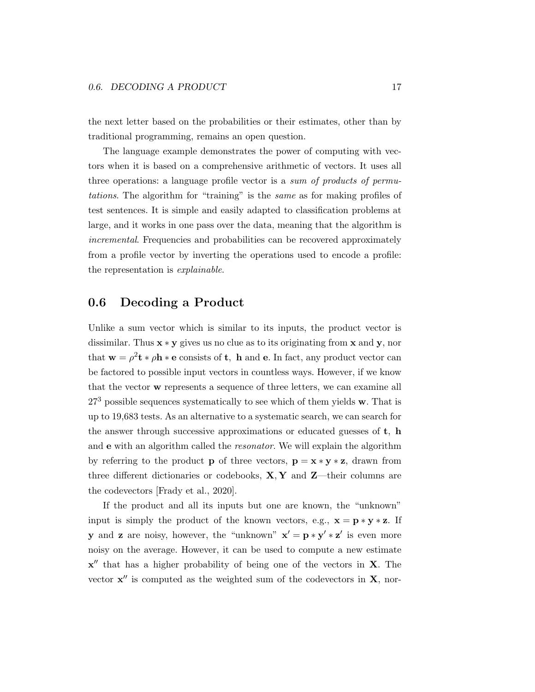the next letter based on the probabilities or their estimates, other than by traditional programming, remains an open question.

The language example demonstrates the power of computing with vectors when it is based on a comprehensive arithmetic of vectors. It uses all three operations: a language profile vector is a sum of products of permutations. The algorithm for "training" is the same as for making profiles of test sentences. It is simple and easily adapted to classification problems at large, and it works in one pass over the data, meaning that the algorithm is incremental. Frequencies and probabilities can be recovered approximately from a profile vector by inverting the operations used to encode a profile: the representation is explainable.

#### 0.6 Decoding a Product

Unlike a sum vector which is similar to its inputs, the product vector is dissimilar. Thus  $\mathbf{x} * \mathbf{y}$  gives us no clue as to its originating from  $\mathbf{x}$  and  $\mathbf{y}$ , nor that  $\mathbf{w} = \rho^2 \mathbf{t} * \rho \mathbf{h} * \mathbf{e}$  consists of **t**, **h** and **e**. In fact, any product vector can be factored to possible input vectors in countless ways. However, if we know that the vector w represents a sequence of three letters, we can examine all  $27<sup>3</sup>$  possible sequences systematically to see which of them yields w. That is up to 19,683 tests. As an alternative to a systematic search, we can search for the answer through successive approximations or educated guesses of t, h and e with an algorithm called the resonator. We will explain the algorithm by referring to the product **p** of three vectors,  $\mathbf{p} = \mathbf{x} * \mathbf{y} * \mathbf{z}$ , drawn from three different dictionaries or codebooks,  $X, Y$  and  $Z$ —their columns are the codevectors [Frady et al., 2020].

If the product and all its inputs but one are known, the "unknown" input is simply the product of the known vectors, e.g.,  $\mathbf{x} = \mathbf{p} * \mathbf{y} * \mathbf{z}$ . If **y** and **z** are noisy, however, the "unknown"  $x' = p * y' * z'$  is even more noisy on the average. However, it can be used to compute a new estimate  $x''$  that has a higher probability of being one of the vectors in  $X$ . The vector  $x''$  is computed as the weighted sum of the codevectors in  $X$ , nor-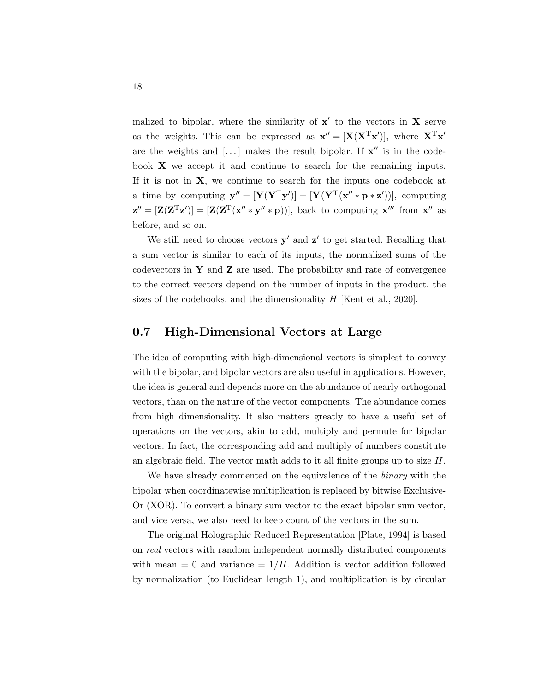malized to bipolar, where the similarity of  $x'$  to the vectors in  $X$  serve as the weights. This can be expressed as  $\mathbf{x}'' = [\mathbf{X}(\mathbf{X}^T\mathbf{x}')]$ , where  $\mathbf{X}^T\mathbf{x}'$ are the weights and  $[\dots]$  makes the result bipolar. If  $x''$  is in the codebook X we accept it and continue to search for the remaining inputs. If it is not in  $X$ , we continue to search for the inputs one codebook at a time by computing  $\mathbf{y}'' = [\mathbf{Y}(\mathbf{Y}^T \mathbf{y}')] = [\mathbf{Y}(\mathbf{Y}^T (\mathbf{x}'' * \mathbf{p} * \mathbf{z}'))],$  computing  $\mathbf{z}'' = [\mathbf{Z}(\mathbf{Z}^T\mathbf{z}')] = [\mathbf{Z}(\mathbf{Z}^T(\mathbf{x}'' * \mathbf{y}'' * \mathbf{p}))],$  back to computing  $\mathbf{x}'''$  from  $\mathbf{x}''$  as before, and so on.

We still need to choose vectors  $y'$  and  $z'$  to get started. Recalling that a sum vector is similar to each of its inputs, the normalized sums of the codevectors in Y and Z are used. The probability and rate of convergence to the correct vectors depend on the number of inputs in the product, the sizes of the codebooks, and the dimensionality  $H$  [Kent et al., 2020].

#### 0.7 High-Dimensional Vectors at Large

The idea of computing with high-dimensional vectors is simplest to convey with the bipolar, and bipolar vectors are also useful in applications. However, the idea is general and depends more on the abundance of nearly orthogonal vectors, than on the nature of the vector components. The abundance comes from high dimensionality. It also matters greatly to have a useful set of operations on the vectors, akin to add, multiply and permute for bipolar vectors. In fact, the corresponding add and multiply of numbers constitute an algebraic field. The vector math adds to it all finite groups up to size  $H$ .

We have already commented on the equivalence of the *binary* with the bipolar when coordinatewise multiplication is replaced by bitwise Exclusive-Or (XOR). To convert a binary sum vector to the exact bipolar sum vector, and vice versa, we also need to keep count of the vectors in the sum.

The original Holographic Reduced Representation [Plate, 1994] is based on real vectors with random independent normally distributed components with mean  $= 0$  and variance  $= 1/H$ . Addition is vector addition followed by normalization (to Euclidean length 1), and multiplication is by circular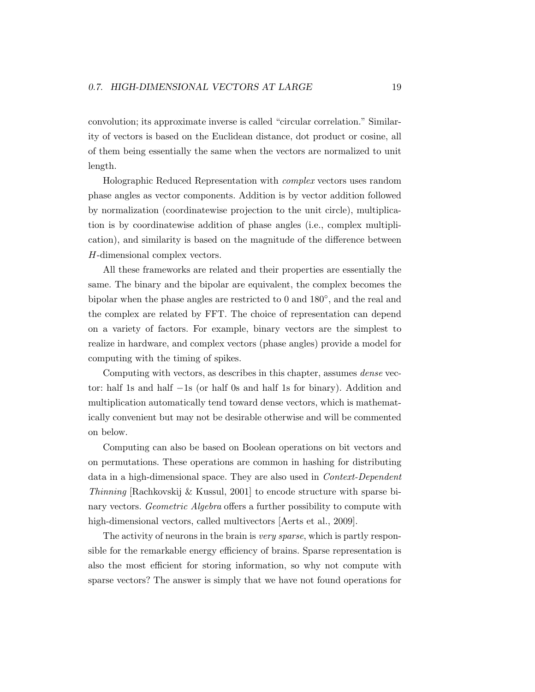convolution; its approximate inverse is called "circular correlation." Similarity of vectors is based on the Euclidean distance, dot product or cosine, all of them being essentially the same when the vectors are normalized to unit length.

Holographic Reduced Representation with complex vectors uses random phase angles as vector components. Addition is by vector addition followed by normalization (coordinatewise projection to the unit circle), multiplication is by coordinatewise addition of phase angles (i.e., complex multiplication), and similarity is based on the magnitude of the difference between H-dimensional complex vectors.

All these frameworks are related and their properties are essentially the same. The binary and the bipolar are equivalent, the complex becomes the bipolar when the phase angles are restricted to 0 and 180<sup>°</sup>, and the real and the complex are related by FFT. The choice of representation can depend on a variety of factors. For example, binary vectors are the simplest to realize in hardware, and complex vectors (phase angles) provide a model for computing with the timing of spikes.

Computing with vectors, as describes in this chapter, assumes dense vector: half 1s and half −1s (or half 0s and half 1s for binary). Addition and multiplication automatically tend toward dense vectors, which is mathematically convenient but may not be desirable otherwise and will be commented on below.

Computing can also be based on Boolean operations on bit vectors and on permutations. These operations are common in hashing for distributing data in a high-dimensional space. They are also used in Context-Dependent Thinning [Rachkovskij & Kussul, 2001] to encode structure with sparse binary vectors. Geometric Algebra offers a further possibility to compute with high-dimensional vectors, called multivectors [Aerts et al., 2009].

The activity of neurons in the brain is *very sparse*, which is partly responsible for the remarkable energy efficiency of brains. Sparse representation is also the most efficient for storing information, so why not compute with sparse vectors? The answer is simply that we have not found operations for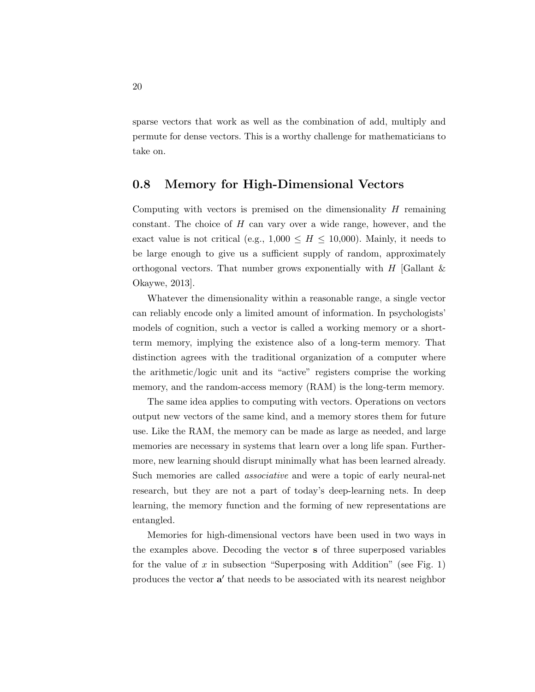sparse vectors that work as well as the combination of add, multiply and permute for dense vectors. This is a worthy challenge for mathematicians to take on.

#### 0.8 Memory for High-Dimensional Vectors

Computing with vectors is premised on the dimensionality  $H$  remaining constant. The choice of H can vary over a wide range, however, and the exact value is not critical (e.g.,  $1,000 \leq H \leq 10,000$ ). Mainly, it needs to be large enough to give us a sufficient supply of random, approximately orthogonal vectors. That number grows exponentially with  $H$  [Gallant  $\&$ Okaywe, 2013].

Whatever the dimensionality within a reasonable range, a single vector can reliably encode only a limited amount of information. In psychologists' models of cognition, such a vector is called a working memory or a shortterm memory, implying the existence also of a long-term memory. That distinction agrees with the traditional organization of a computer where the arithmetic/logic unit and its "active" registers comprise the working memory, and the random-access memory (RAM) is the long-term memory.

The same idea applies to computing with vectors. Operations on vectors output new vectors of the same kind, and a memory stores them for future use. Like the RAM, the memory can be made as large as needed, and large memories are necessary in systems that learn over a long life span. Furthermore, new learning should disrupt minimally what has been learned already. Such memories are called associative and were a topic of early neural-net research, but they are not a part of today's deep-learning nets. In deep learning, the memory function and the forming of new representations are entangled.

Memories for high-dimensional vectors have been used in two ways in the examples above. Decoding the vector s of three superposed variables for the value of x in subsection "Superposing with Addition" (see Fig. 1) produces the vector  $a'$  that needs to be associated with its nearest neighbor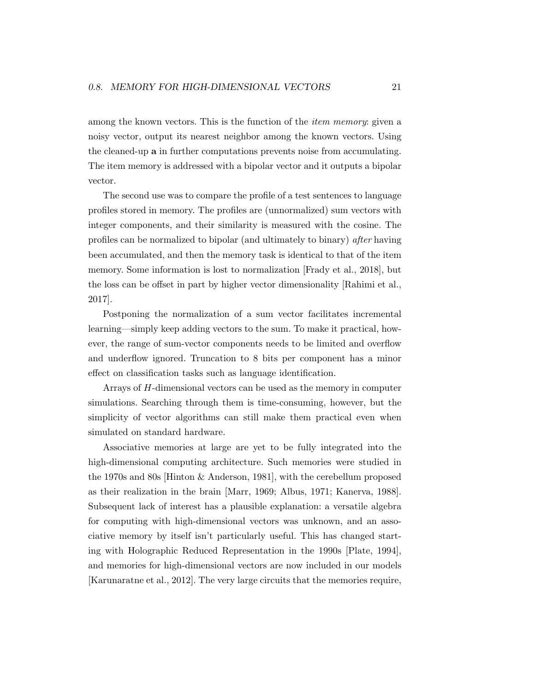among the known vectors. This is the function of the *item memory*: given a noisy vector, output its nearest neighbor among the known vectors. Using the cleaned-up a in further computations prevents noise from accumulating. The item memory is addressed with a bipolar vector and it outputs a bipolar vector.

The second use was to compare the profile of a test sentences to language profiles stored in memory. The profiles are (unnormalized) sum vectors with integer components, and their similarity is measured with the cosine. The profiles can be normalized to bipolar (and ultimately to binary) after having been accumulated, and then the memory task is identical to that of the item memory. Some information is lost to normalization [Frady et al., 2018], but the loss can be offset in part by higher vector dimensionality [Rahimi et al., 2017].

Postponing the normalization of a sum vector facilitates incremental learning—simply keep adding vectors to the sum. To make it practical, however, the range of sum-vector components needs to be limited and overflow and underflow ignored. Truncation to 8 bits per component has a minor effect on classification tasks such as language identification.

Arrays of H-dimensional vectors can be used as the memory in computer simulations. Searching through them is time-consuming, however, but the simplicity of vector algorithms can still make them practical even when simulated on standard hardware.

Associative memories at large are yet to be fully integrated into the high-dimensional computing architecture. Such memories were studied in the 1970s and 80s [Hinton & Anderson, 1981], with the cerebellum proposed as their realization in the brain [Marr, 1969; Albus, 1971; Kanerva, 1988]. Subsequent lack of interest has a plausible explanation: a versatile algebra for computing with high-dimensional vectors was unknown, and an associative memory by itself isn't particularly useful. This has changed starting with Holographic Reduced Representation in the 1990s [Plate, 1994], and memories for high-dimensional vectors are now included in our models [Karunaratne et al., 2012]. The very large circuits that the memories require,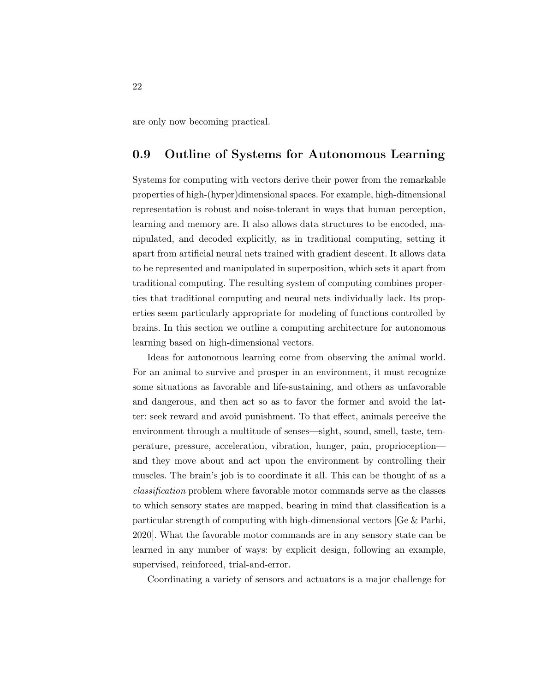are only now becoming practical.

## 0.9 Outline of Systems for Autonomous Learning

Systems for computing with vectors derive their power from the remarkable properties of high-(hyper)dimensional spaces. For example, high-dimensional representation is robust and noise-tolerant in ways that human perception, learning and memory are. It also allows data structures to be encoded, manipulated, and decoded explicitly, as in traditional computing, setting it apart from artificial neural nets trained with gradient descent. It allows data to be represented and manipulated in superposition, which sets it apart from traditional computing. The resulting system of computing combines properties that traditional computing and neural nets individually lack. Its properties seem particularly appropriate for modeling of functions controlled by brains. In this section we outline a computing architecture for autonomous learning based on high-dimensional vectors.

Ideas for autonomous learning come from observing the animal world. For an animal to survive and prosper in an environment, it must recognize some situations as favorable and life-sustaining, and others as unfavorable and dangerous, and then act so as to favor the former and avoid the latter: seek reward and avoid punishment. To that effect, animals perceive the environment through a multitude of senses—sight, sound, smell, taste, temperature, pressure, acceleration, vibration, hunger, pain, proprioception and they move about and act upon the environment by controlling their muscles. The brain's job is to coordinate it all. This can be thought of as a classification problem where favorable motor commands serve as the classes to which sensory states are mapped, bearing in mind that classification is a particular strength of computing with high-dimensional vectors [Ge & Parhi, 2020]. What the favorable motor commands are in any sensory state can be learned in any number of ways: by explicit design, following an example, supervised, reinforced, trial-and-error.

Coordinating a variety of sensors and actuators is a major challenge for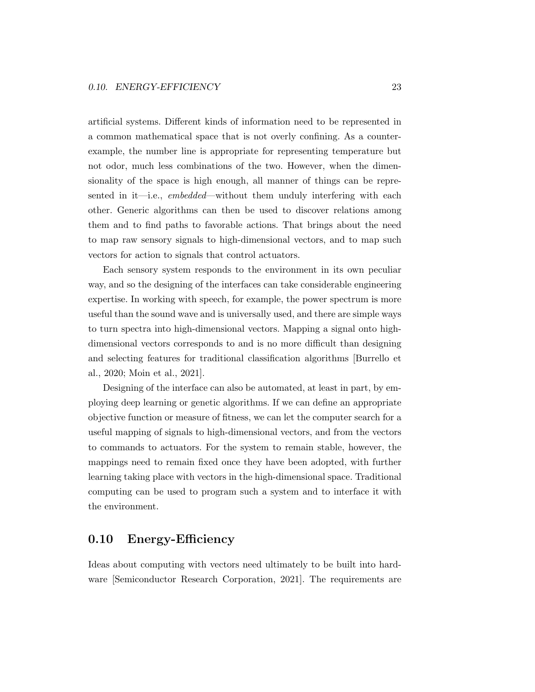artificial systems. Different kinds of information need to be represented in a common mathematical space that is not overly confining. As a counterexample, the number line is appropriate for representing temperature but not odor, much less combinations of the two. However, when the dimensionality of the space is high enough, all manner of things can be represented in it—i.e., embedded—without them unduly interfering with each other. Generic algorithms can then be used to discover relations among them and to find paths to favorable actions. That brings about the need to map raw sensory signals to high-dimensional vectors, and to map such vectors for action to signals that control actuators.

Each sensory system responds to the environment in its own peculiar way, and so the designing of the interfaces can take considerable engineering expertise. In working with speech, for example, the power spectrum is more useful than the sound wave and is universally used, and there are simple ways to turn spectra into high-dimensional vectors. Mapping a signal onto highdimensional vectors corresponds to and is no more difficult than designing and selecting features for traditional classification algorithms [Burrello et al., 2020; Moin et al., 2021].

Designing of the interface can also be automated, at least in part, by employing deep learning or genetic algorithms. If we can define an appropriate objective function or measure of fitness, we can let the computer search for a useful mapping of signals to high-dimensional vectors, and from the vectors to commands to actuators. For the system to remain stable, however, the mappings need to remain fixed once they have been adopted, with further learning taking place with vectors in the high-dimensional space. Traditional computing can be used to program such a system and to interface it with the environment.

## 0.10 Energy-Efficiency

Ideas about computing with vectors need ultimately to be built into hardware [Semiconductor Research Corporation, 2021]. The requirements are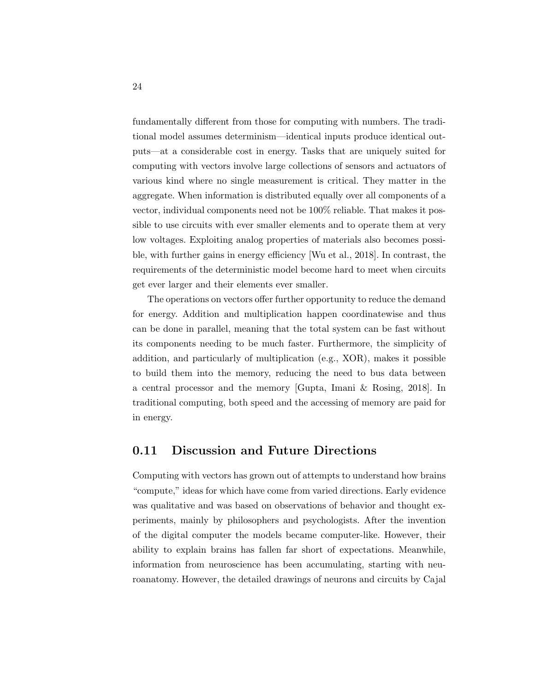fundamentally different from those for computing with numbers. The traditional model assumes determinism—identical inputs produce identical outputs—at a considerable cost in energy. Tasks that are uniquely suited for computing with vectors involve large collections of sensors and actuators of various kind where no single measurement is critical. They matter in the aggregate. When information is distributed equally over all components of a vector, individual components need not be 100% reliable. That makes it possible to use circuits with ever smaller elements and to operate them at very low voltages. Exploiting analog properties of materials also becomes possible, with further gains in energy efficiency [Wu et al., 2018]. In contrast, the requirements of the deterministic model become hard to meet when circuits get ever larger and their elements ever smaller.

The operations on vectors offer further opportunity to reduce the demand for energy. Addition and multiplication happen coordinatewise and thus can be done in parallel, meaning that the total system can be fast without its components needing to be much faster. Furthermore, the simplicity of addition, and particularly of multiplication (e.g., XOR), makes it possible to build them into the memory, reducing the need to bus data between a central processor and the memory [Gupta, Imani & Rosing, 2018]. In traditional computing, both speed and the accessing of memory are paid for in energy.

#### 0.11 Discussion and Future Directions

Computing with vectors has grown out of attempts to understand how brains "compute," ideas for which have come from varied directions. Early evidence was qualitative and was based on observations of behavior and thought experiments, mainly by philosophers and psychologists. After the invention of the digital computer the models became computer-like. However, their ability to explain brains has fallen far short of expectations. Meanwhile, information from neuroscience has been accumulating, starting with neuroanatomy. However, the detailed drawings of neurons and circuits by Cajal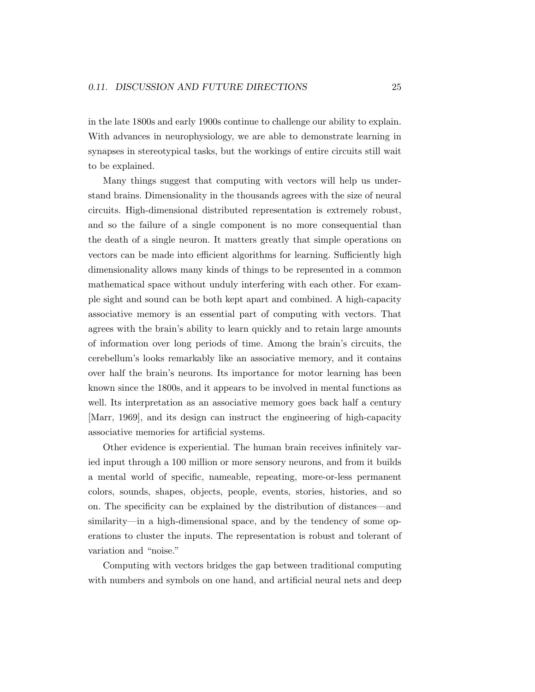in the late 1800s and early 1900s continue to challenge our ability to explain. With advances in neurophysiology, we are able to demonstrate learning in synapses in stereotypical tasks, but the workings of entire circuits still wait to be explained.

Many things suggest that computing with vectors will help us understand brains. Dimensionality in the thousands agrees with the size of neural circuits. High-dimensional distributed representation is extremely robust, and so the failure of a single component is no more consequential than the death of a single neuron. It matters greatly that simple operations on vectors can be made into efficient algorithms for learning. Sufficiently high dimensionality allows many kinds of things to be represented in a common mathematical space without unduly interfering with each other. For example sight and sound can be both kept apart and combined. A high-capacity associative memory is an essential part of computing with vectors. That agrees with the brain's ability to learn quickly and to retain large amounts of information over long periods of time. Among the brain's circuits, the cerebellum's looks remarkably like an associative memory, and it contains over half the brain's neurons. Its importance for motor learning has been known since the 1800s, and it appears to be involved in mental functions as well. Its interpretation as an associative memory goes back half a century [Marr, 1969], and its design can instruct the engineering of high-capacity associative memories for artificial systems.

Other evidence is experiential. The human brain receives infinitely varied input through a 100 million or more sensory neurons, and from it builds a mental world of specific, nameable, repeating, more-or-less permanent colors, sounds, shapes, objects, people, events, stories, histories, and so on. The specificity can be explained by the distribution of distances—and similarity—in a high-dimensional space, and by the tendency of some operations to cluster the inputs. The representation is robust and tolerant of variation and "noise."

Computing with vectors bridges the gap between traditional computing with numbers and symbols on one hand, and artificial neural nets and deep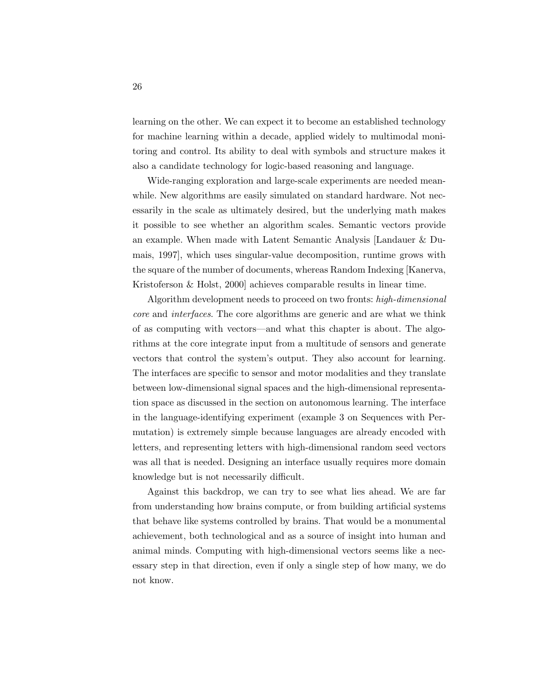learning on the other. We can expect it to become an established technology for machine learning within a decade, applied widely to multimodal monitoring and control. Its ability to deal with symbols and structure makes it also a candidate technology for logic-based reasoning and language.

Wide-ranging exploration and large-scale experiments are needed meanwhile. New algorithms are easily simulated on standard hardware. Not necessarily in the scale as ultimately desired, but the underlying math makes it possible to see whether an algorithm scales. Semantic vectors provide an example. When made with Latent Semantic Analysis [Landauer & Dumais, 1997], which uses singular-value decomposition, runtime grows with the square of the number of documents, whereas Random Indexing [Kanerva, Kristoferson & Holst, 2000] achieves comparable results in linear time.

Algorithm development needs to proceed on two fronts: high-dimensional core and interfaces. The core algorithms are generic and are what we think of as computing with vectors—and what this chapter is about. The algorithms at the core integrate input from a multitude of sensors and generate vectors that control the system's output. They also account for learning. The interfaces are specific to sensor and motor modalities and they translate between low-dimensional signal spaces and the high-dimensional representation space as discussed in the section on autonomous learning. The interface in the language-identifying experiment (example 3 on Sequences with Permutation) is extremely simple because languages are already encoded with letters, and representing letters with high-dimensional random seed vectors was all that is needed. Designing an interface usually requires more domain knowledge but is not necessarily difficult.

Against this backdrop, we can try to see what lies ahead. We are far from understanding how brains compute, or from building artificial systems that behave like systems controlled by brains. That would be a monumental achievement, both technological and as a source of insight into human and animal minds. Computing with high-dimensional vectors seems like a necessary step in that direction, even if only a single step of how many, we do not know.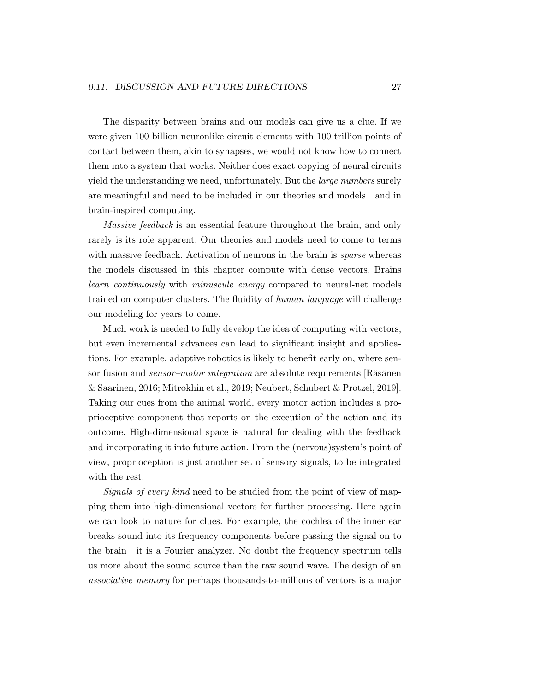The disparity between brains and our models can give us a clue. If we were given 100 billion neuronlike circuit elements with 100 trillion points of contact between them, akin to synapses, we would not know how to connect them into a system that works. Neither does exact copying of neural circuits yield the understanding we need, unfortunately. But the large numbers surely are meaningful and need to be included in our theories and models—and in brain-inspired computing.

Massive feedback is an essential feature throughout the brain, and only rarely is its role apparent. Our theories and models need to come to terms with massive feedback. Activation of neurons in the brain is *sparse* whereas the models discussed in this chapter compute with dense vectors. Brains learn continuously with minuscule energy compared to neural-net models trained on computer clusters. The fluidity of human language will challenge our modeling for years to come.

Much work is needed to fully develop the idea of computing with vectors, but even incremental advances can lead to significant insight and applications. For example, adaptive robotics is likely to benefit early on, where sensor fusion and *sensor–motor integration* are absolute requirements [Räsänen] & Saarinen, 2016; Mitrokhin et al., 2019; Neubert, Schubert & Protzel, 2019]. Taking our cues from the animal world, every motor action includes a proprioceptive component that reports on the execution of the action and its outcome. High-dimensional space is natural for dealing with the feedback and incorporating it into future action. From the (nervous)system's point of view, proprioception is just another set of sensory signals, to be integrated with the rest.

Signals of every kind need to be studied from the point of view of mapping them into high-dimensional vectors for further processing. Here again we can look to nature for clues. For example, the cochlea of the inner ear breaks sound into its frequency components before passing the signal on to the brain—it is a Fourier analyzer. No doubt the frequency spectrum tells us more about the sound source than the raw sound wave. The design of an associative memory for perhaps thousands-to-millions of vectors is a major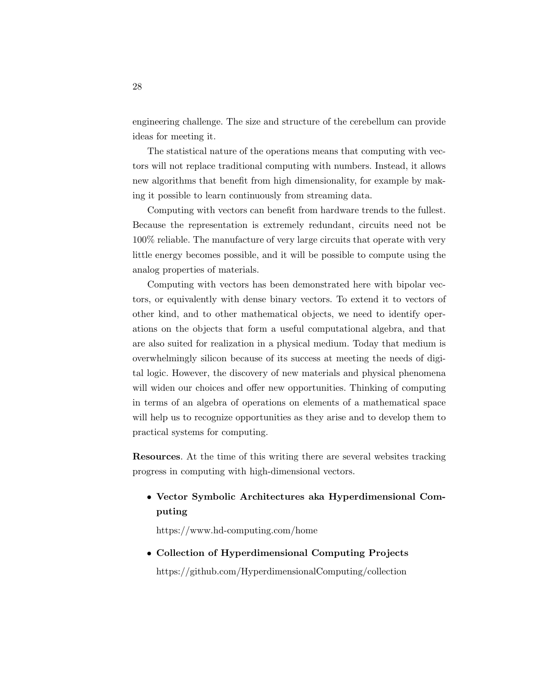engineering challenge. The size and structure of the cerebellum can provide ideas for meeting it.

The statistical nature of the operations means that computing with vectors will not replace traditional computing with numbers. Instead, it allows new algorithms that benefit from high dimensionality, for example by making it possible to learn continuously from streaming data.

Computing with vectors can benefit from hardware trends to the fullest. Because the representation is extremely redundant, circuits need not be 100% reliable. The manufacture of very large circuits that operate with very little energy becomes possible, and it will be possible to compute using the analog properties of materials.

Computing with vectors has been demonstrated here with bipolar vectors, or equivalently with dense binary vectors. To extend it to vectors of other kind, and to other mathematical objects, we need to identify operations on the objects that form a useful computational algebra, and that are also suited for realization in a physical medium. Today that medium is overwhelmingly silicon because of its success at meeting the needs of digital logic. However, the discovery of new materials and physical phenomena will widen our choices and offer new opportunities. Thinking of computing in terms of an algebra of operations on elements of a mathematical space will help us to recognize opportunities as they arise and to develop them to practical systems for computing.

Resources. At the time of this writing there are several websites tracking progress in computing with high-dimensional vectors.

## • Vector Symbolic Architectures aka Hyperdimensional Computing

https://www.hd-computing.com/home

• Collection of Hyperdimensional Computing Projects https://github.com/HyperdimensionalComputing/collection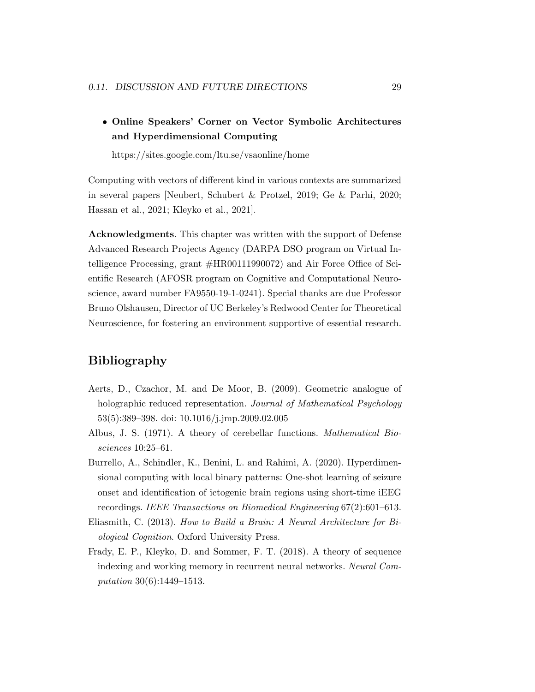## • Online Speakers' Corner on Vector Symbolic Architectures and Hyperdimensional Computing

https://sites.google.com/ltu.se/vsaonline/home

Computing with vectors of different kind in various contexts are summarized in several papers [Neubert, Schubert & Protzel, 2019; Ge & Parhi, 2020; Hassan et al., 2021; Kleyko et al., 2021].

Acknowledgments. This chapter was written with the support of Defense Advanced Research Projects Agency (DARPA DSO program on Virtual Intelligence Processing, grant #HR00111990072) and Air Force Office of Scientific Research (AFOSR program on Cognitive and Computational Neuroscience, award number FA9550-19-1-0241). Special thanks are due Professor Bruno Olshausen, Director of UC Berkeley's Redwood Center for Theoretical Neuroscience, for fostering an environment supportive of essential research.

## Bibliography

- Aerts, D., Czachor, M. and De Moor, B. (2009). Geometric analogue of holographic reduced representation. Journal of Mathematical Psychology 53(5):389–398. doi: 10.1016/j.jmp.2009.02.005
- Albus, J. S. (1971). A theory of cerebellar functions. Mathematical Biosciences 10:25–61.
- Burrello, A., Schindler, K., Benini, L. and Rahimi, A. (2020). Hyperdimensional computing with local binary patterns: One-shot learning of seizure onset and identification of ictogenic brain regions using short-time iEEG recordings. IEEE Transactions on Biomedical Engineering 67(2):601–613.
- Eliasmith, C. (2013). How to Build a Brain: A Neural Architecture for Biological Cognition. Oxford University Press.
- Frady, E. P., Kleyko, D. and Sommer, F. T. (2018). A theory of sequence indexing and working memory in recurrent neural networks. Neural Computation 30(6):1449–1513.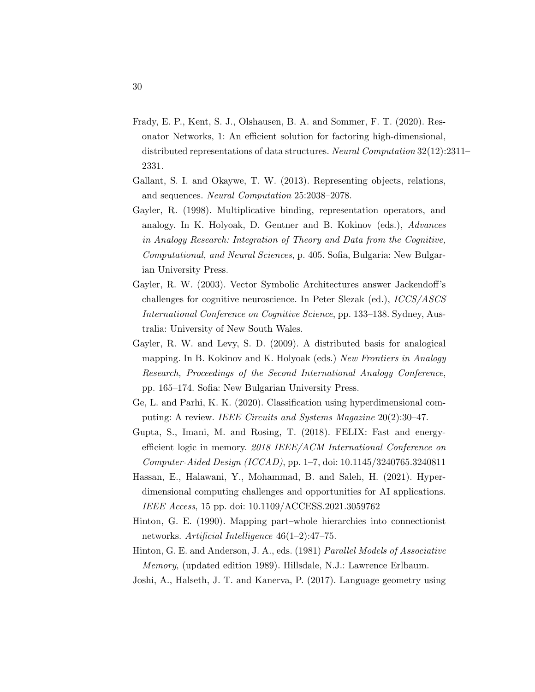- Frady, E. P., Kent, S. J., Olshausen, B. A. and Sommer, F. T. (2020). Resonator Networks, 1: An efficient solution for factoring high-dimensional, distributed representations of data structures. Neural Computation 32(12):2311– 2331.
- Gallant, S. I. and Okaywe, T. W. (2013). Representing objects, relations, and sequences. Neural Computation 25:2038–2078.
- Gayler, R. (1998). Multiplicative binding, representation operators, and analogy. In K. Holyoak, D. Gentner and B. Kokinov (eds.), Advances in Analogy Research: Integration of Theory and Data from the Cognitive, Computational, and Neural Sciences, p. 405. Sofia, Bulgaria: New Bulgarian University Press.
- Gayler, R. W. (2003). Vector Symbolic Architectures answer Jackendoff's challenges for cognitive neuroscience. In Peter Slezak (ed.), ICCS/ASCS International Conference on Cognitive Science, pp. 133–138. Sydney, Australia: University of New South Wales.
- Gayler, R. W. and Levy, S. D. (2009). A distributed basis for analogical mapping. In B. Kokinov and K. Holyoak (eds.) New Frontiers in Analogy Research, Proceedings of the Second International Analogy Conference, pp. 165–174. Sofia: New Bulgarian University Press.
- Ge, L. and Parhi, K. K. (2020). Classification using hyperdimensional computing: A review. IEEE Circuits and Systems Magazine 20(2):30-47.
- Gupta, S., Imani, M. and Rosing, T. (2018). FELIX: Fast and energyefficient logic in memory. 2018 IEEE/ACM International Conference on Computer-Aided Design (ICCAD), pp. 1–7, doi: 10.1145/3240765.3240811
- Hassan, E., Halawani, Y., Mohammad, B. and Saleh, H. (2021). Hyperdimensional computing challenges and opportunities for AI applications. IEEE Access, 15 pp. doi: 10.1109/ACCESS.2021.3059762
- Hinton, G. E. (1990). Mapping part–whole hierarchies into connectionist networks. Artificial Intelligence 46(1–2):47–75.
- Hinton, G. E. and Anderson, J. A., eds. (1981) Parallel Models of Associative Memory, (updated edition 1989). Hillsdale, N.J.: Lawrence Erlbaum.
- Joshi, A., Halseth, J. T. and Kanerva, P. (2017). Language geometry using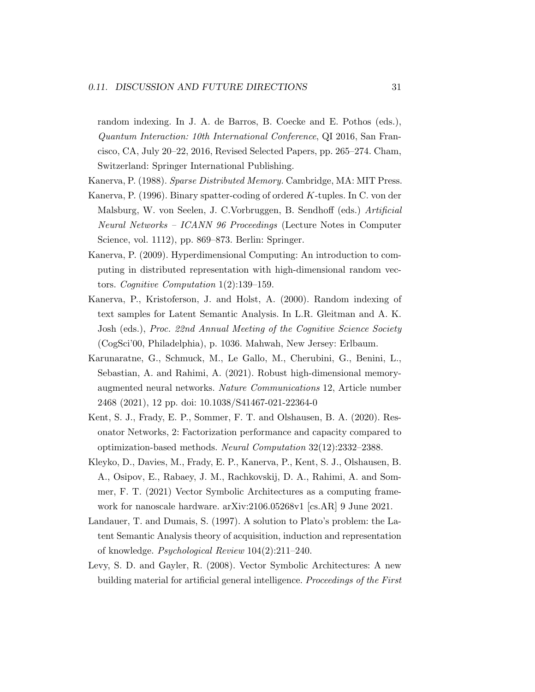random indexing. In J. A. de Barros, B. Coecke and E. Pothos (eds.), Quantum Interaction: 10th International Conference, QI 2016, San Francisco, CA, July 20–22, 2016, Revised Selected Papers, pp. 265–274. Cham, Switzerland: Springer International Publishing.

- Kanerva, P. (1988). Sparse Distributed Memory. Cambridge, MA: MIT Press.
- Kanerva, P. (1996). Binary spatter-coding of ordered K-tuples. In C. von der Malsburg, W. von Seelen, J. C.Vorbruggen, B. Sendhoff (eds.) Artificial Neural Networks – ICANN 96 Proceedings (Lecture Notes in Computer Science, vol. 1112), pp. 869–873. Berlin: Springer.
- Kanerva, P. (2009). Hyperdimensional Computing: An introduction to computing in distributed representation with high-dimensional random vectors. Cognitive Computation 1(2):139–159.
- Kanerva, P., Kristoferson, J. and Holst, A. (2000). Random indexing of text samples for Latent Semantic Analysis. In L.R. Gleitman and A. K. Josh (eds.), Proc. 22nd Annual Meeting of the Cognitive Science Society (CogSci'00, Philadelphia), p. 1036. Mahwah, New Jersey: Erlbaum.
- Karunaratne, G., Schmuck, M., Le Gallo, M., Cherubini, G., Benini, L., Sebastian, A. and Rahimi, A. (2021). Robust high-dimensional memoryaugmented neural networks. Nature Communications 12, Article number 2468 (2021), 12 pp. doi: 10.1038/S41467-021-22364-0
- Kent, S. J., Frady, E. P., Sommer, F. T. and Olshausen, B. A. (2020). Resonator Networks, 2: Factorization performance and capacity compared to optimization-based methods. Neural Computation 32(12):2332–2388.
- Kleyko, D., Davies, M., Frady, E. P., Kanerva, P., Kent, S. J., Olshausen, B. A., Osipov, E., Rabaey, J. M., Rachkovskij, D. A., Rahimi, A. and Sommer, F. T. (2021) Vector Symbolic Architectures as a computing framework for nanoscale hardware. arXiv:2106.05268v1 [cs.AR] 9 June 2021.
- Landauer, T. and Dumais, S. (1997). A solution to Plato's problem: the Latent Semantic Analysis theory of acquisition, induction and representation of knowledge. Psychological Review 104(2):211–240.
- Levy, S. D. and Gayler, R. (2008). Vector Symbolic Architectures: A new building material for artificial general intelligence. Proceedings of the First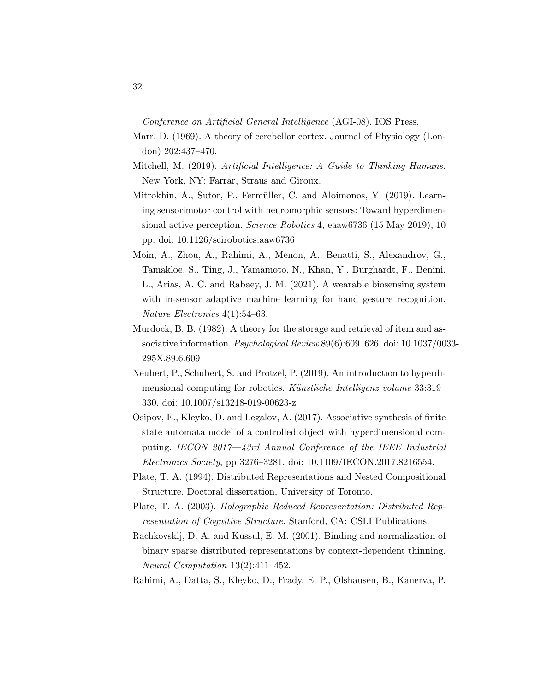Conference on Artificial General Intelligence (AGI-08). IOS Press.

- Marr, D. (1969). A theory of cerebellar cortex. Journal of Physiology (London) 202:437–470.
- Mitchell, M. (2019). Artificial Intelligence: A Guide to Thinking Humans. New York, NY: Farrar, Straus and Giroux.
- Mitrokhin, A., Sutor, P., Fermüller, C. and Aloimonos, Y. (2019). Learning sensorimotor control with neuromorphic sensors: Toward hyperdimensional active perception. Science Robotics 4, eaaw6736 (15 May 2019), 10 pp. doi: 10.1126/scirobotics.aaw6736
- Moin, A., Zhou, A., Rahimi, A., Menon, A., Benatti, S., Alexandrov, G., Tamakloe, S., Ting, J., Yamamoto, N., Khan, Y., Burghardt, F., Benini, L., Arias, A. C. and Rabaey, J. M. (2021). A wearable biosensing system with in-sensor adaptive machine learning for hand gesture recognition. Nature Electronics 4(1):54–63.
- Murdock, B. B. (1982). A theory for the storage and retrieval of item and associative information. Psychological Review 89(6):609–626. doi: 10.1037/0033- 295X.89.6.609
- Neubert, P., Schubert, S. and Protzel, P. (2019). An introduction to hyperdimensional computing for robotics. Künstliche Intelligenz volume 33:319– 330. doi: 10.1007/s13218-019-00623-z
- Osipov, E., Kleyko, D. and Legalov, A. (2017). Associative synthesis of finite state automata model of a controlled object with hyperdimensional computing. IECON 2017—43rd Annual Conference of the IEEE Industrial Electronics Society, pp 3276–3281. doi: 10.1109/IECON.2017.8216554.
- Plate, T. A. (1994). Distributed Representations and Nested Compositional Structure. Doctoral dissertation, University of Toronto.
- Plate, T. A. (2003). Holographic Reduced Representation: Distributed Representation of Cognitive Structure. Stanford, CA: CSLI Publications.
- Rachkovskij, D. A. and Kussul, E. M. (2001). Binding and normalization of binary sparse distributed representations by context-dependent thinning. Neural Computation 13(2):411–452.
- Rahimi, A., Datta, S., Kleyko, D., Frady, E. P., Olshausen, B., Kanerva, P.